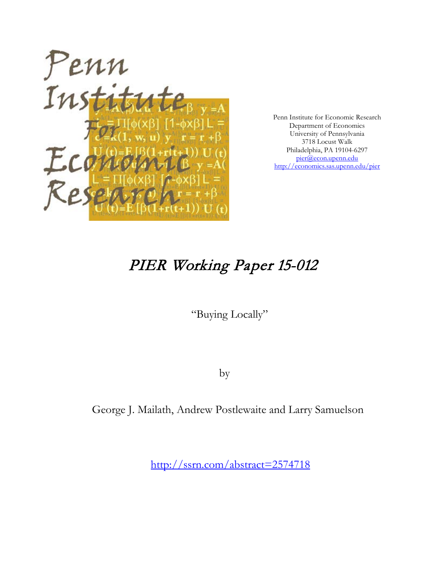

Penn Institute for Economic Research Department of Economics University of Pennsylvania 3718 Locust Walk Philadelphia, PA 19104-6297 [pier@econ.upenn.edu](mailto:pier@econ.upenn.edu) <http://economics.sas.upenn.edu/pier>

# PIER Working Paper 15-012

"Buying Locally"

by

George J. Mailath, Andrew Postlewaite and Larry Samuelson

[http://ssrn.com/abstract=2](http://ssrn.com/abstract_id=)574718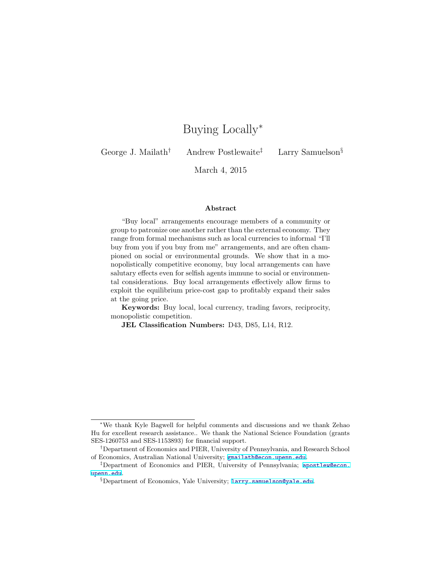## Buying Locally<sup>∗</sup>

George J. Mailath<sup>†</sup> Andrew Postlewaite<sup>‡</sup> Larry Samuelson<sup>§</sup>

March 4, 2015

#### Abstract

"Buy local" arrangements encourage members of a community or group to patronize one another rather than the external economy. They range from formal mechanisms such as local currencies to informal "I'll buy from you if you buy from me" arrangements, and are often championed on social or environmental grounds. We show that in a monopolistically competitive economy, buy local arrangements can have salutary effects even for selfish agents immune to social or environmental considerations. Buy local arrangements effectively allow firms to exploit the equilibrium price-cost gap to profitably expand their sales at the going price.

Keywords: Buy local, local currency, trading favors, reciprocity, monopolistic competition.

JEL Classification Numbers: D43, D85, L14, R12.

<sup>∗</sup>We thank Kyle Bagwell for helpful comments and discussions and we thank Zehao Hu for excellent research assistance.. We thank the National Science Foundation (grants SES-1260753 and SES-1153893) for financial support.

<sup>†</sup>Department of Economics and PIER, University of Pennsylvania, and Research School of Economics, Australian National University; gmailath@econ.upenn.edu.

<sup>‡</sup>Department of Economics and PIER, University of Pennsylvania; apostlew@econ. upenn.edu.

 $\S$ Department of Economics, Yale University; larry.samuelson@yale.edu.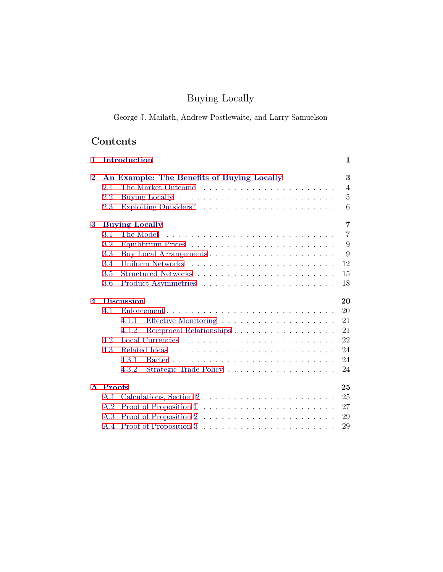## Buying Locally

George J. Mailath, Andrew Postlewaite, and Larry Samuelson

## Contents

| 1.             |                                         | Introduction                               | $\mathbf{1}$    |
|----------------|-----------------------------------------|--------------------------------------------|-----------------|
| $\bf{2}$       |                                         | An Example: The Benefits of Buying Locally | 3               |
|                | 2.1                                     |                                            | $\overline{4}$  |
|                | 2.2                                     |                                            | $5\overline{)}$ |
|                | 2.3                                     |                                            | 6               |
| 3              | $\overline{7}$<br><b>Buying Locally</b> |                                            |                 |
|                | 3.1                                     | The Model                                  | $\overline{7}$  |
|                | 3.2                                     |                                            | 9               |
|                | 3.3                                     |                                            | 9               |
|                | 3.4                                     |                                            | 12              |
|                | 3.5                                     |                                            | 15              |
|                | 3.6                                     |                                            | 18              |
| $\overline{4}$ |                                         | <b>Discussion</b>                          | 20              |
|                | 4.1                                     |                                            | 20              |
|                |                                         | 4.1.1                                      | 21              |
|                |                                         | Reciprocal Relationships<br>4.1.2          | 21              |
|                | 4.2                                     |                                            | 22              |
|                | 4.3                                     |                                            | 24              |
|                |                                         | 4.3.1                                      | 24              |
|                |                                         | 4.3.2                                      | 24              |
|                |                                         |                                            | 25              |
|                | A Proofs                                |                                            |                 |
|                | A.1                                     |                                            | 25              |
|                | A.2                                     |                                            | 27              |
|                | A.3                                     |                                            | 29              |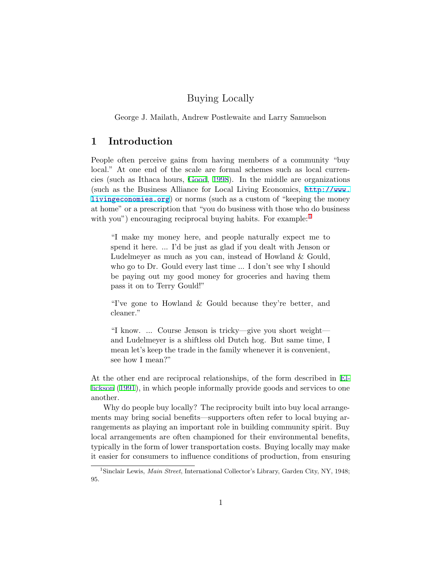## Buying Locally

<span id="page-3-0"></span>George J. Mailath, Andrew Postlewaite and Larry Samuelson

## 1 Introduction

People often perceive gains from having members of a community "buy local." At one end of the scale are formal schemes such as local currencies (such as Ithaca hours, [Good](#page-32-0), [1998](#page-32-0)). In the middle are organizations (such as the Business Alliance for Local Living Economics, [http://www.](http://www.livingeconomies.org) [livingeconomies.org](http://www.livingeconomies.org)) or norms (such as a custom of "keeping the money at home" or a prescription that "you do business with those who do business with you") encouraging reciprocal buying habits. For example:<sup>1</sup>

"I make my money here, and people naturally expect me to spend it here. ... I'd be just as glad if you dealt with Jenson or Ludelmeyer as much as you can, instead of Howland & Gould, who go to Dr. Gould every last time ... I don't see why I should be paying out my good money for groceries and having them pass it on to Terry Gould!"

"I've gone to Howland & Gould because they're better, and cleaner."

"I know. ... Course Jenson is tricky—give you short weight and Ludelmeyer is a shiftless old Dutch hog. But same time, I mean let's keep the trade in the family whenever it is convenient, see how I mean?"

At the other end are reciprocal relationships, of the form described in [El](#page-32-0)[lickson](#page-32-0) [\(1991](#page-32-0)), in which people informally provide goods and services to one another.

Why do people buy locally? The reciprocity built into buy local arrangements may bring social benefits—supporters often refer to local buying arrangements as playing an important role in building community spirit. Buy local arrangements are often championed for their environmental benefits, typically in the form of lower transportation costs. Buying locally may make it easier for consumers to influence conditions of production, from ensuring

<sup>&</sup>lt;sup>1</sup>Sinclair Lewis, *Main Street*, International Collector's Library, Garden City, NY, 1948; 95.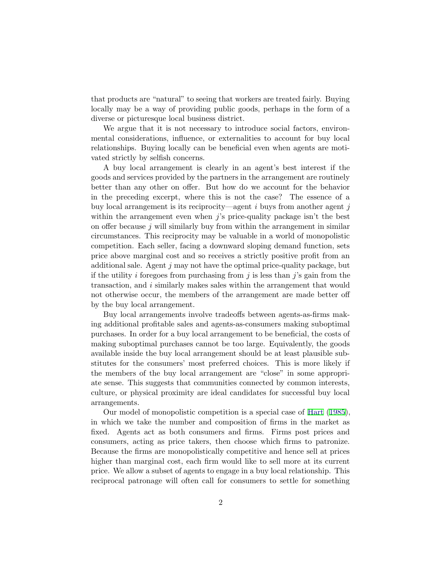that products are "natural" to seeing that workers are treated fairly. Buying locally may be a way of providing public goods, perhaps in the form of a diverse or picturesque local business district.

We argue that it is not necessary to introduce social factors, environmental considerations, influence, or externalities to account for buy local relationships. Buying locally can be beneficial even when agents are motivated strictly by selfish concerns.

A buy local arrangement is clearly in an agent's best interest if the goods and services provided by the partners in the arrangement are routinely better than any other on offer. But how do we account for the behavior in the preceding excerpt, where this is not the case? The essence of a buy local arrangement is its reciprocity—agent  $i$  buys from another agent  $j$ within the arrangement even when  $j$ 's price-quality package isn't the best on offer because  $j$  will similarly buy from within the arrangement in similar circumstances. This reciprocity may be valuable in a world of monopolistic competition. Each seller, facing a downward sloping demand function, sets price above marginal cost and so receives a strictly positive profit from an additional sale. Agent  $j$  may not have the optimal price-quality package, but if the utility i foregoes from purchasing from j is less than  $j$ 's gain from the transaction, and i similarly makes sales within the arrangement that would not otherwise occur, the members of the arrangement are made better off by the buy local arrangement.

Buy local arrangements involve tradeoffs between agents-as-firms making additional profitable sales and agents-as-consumers making suboptimal purchases. In order for a buy local arrangement to be beneficial, the costs of making suboptimal purchases cannot be too large. Equivalently, the goods available inside the buy local arrangement should be at least plausible substitutes for the consumers' most preferred choices. This is more likely if the members of the buy local arrangement are "close" in some appropriate sense. This suggests that communities connected by common interests, culture, or physical proximity are ideal candidates for successful buy local arrangements.

Our model of monopolistic competition is a special case of [Hart](#page-32-0) [\(1985](#page-32-0)), in which we take the number and composition of firms in the market as fixed. Agents act as both consumers and firms. Firms post prices and consumers, acting as price takers, then choose which firms to patronize. Because the firms are monopolistically competitive and hence sell at prices higher than marginal cost, each firm would like to sell more at its current price. We allow a subset of agents to engage in a buy local relationship. This reciprocal patronage will often call for consumers to settle for something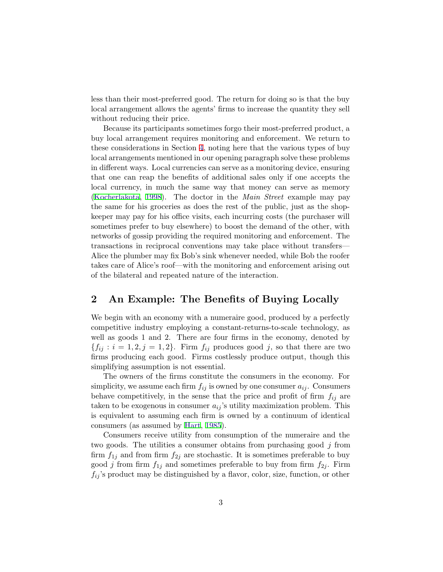<span id="page-5-0"></span>less than their most-preferred good. The return for doing so is that the buy local arrangement allows the agents' firms to increase the quantity they sell without reducing their price.

Because its participants sometimes forgo their most-preferred product, a buy local arrangement requires monitoring and enforcement. We return to these considerations in Section [4](#page-22-0), noting here that the various types of buy local arrangements mentioned in our opening paragraph solve these problems in different ways. Local currencies can serve as a monitoring device, ensuring that one can reap the benefits of additional sales only if one accepts the local currency, in much the same way that money can serve as memory [\(Kocherlakota](#page-33-0), [1998](#page-33-0)). The doctor in the Main Street example may pay the same for his groceries as does the rest of the public, just as the shopkeeper may pay for his office visits, each incurring costs (the purchaser will sometimes prefer to buy elsewhere) to boost the demand of the other, with networks of gossip providing the required monitoring and enforcement. The transactions in reciprocal conventions may take place without transfers— Alice the plumber may fix Bob's sink whenever needed, while Bob the roofer takes care of Alice's roof—with the monitoring and enforcement arising out of the bilateral and repeated nature of the interaction.

## 2 An Example: The Benefits of Buying Locally

We begin with an economy with a numeraire good, produced by a perfectly competitive industry employing a constant-returns-to-scale technology, as well as goods 1 and 2. There are four firms in the economy, denoted by  ${f_{ij} : i = 1, 2, j = 1, 2}.$  Firm  $f_{ij}$  produces good j, so that there are two firms producing each good. Firms costlessly produce output, though this simplifying assumption is not essential.

The owners of the firms constitute the consumers in the economy. For simplicity, we assume each firm  $f_{ij}$  is owned by one consumer  $a_{ij}$ . Consumers behave competitively, in the sense that the price and profit of firm  $f_{ij}$  are taken to be exogenous in consumer  $a_{ij}$ 's utility maximization problem. This is equivalent to assuming each firm is owned by a continuum of identical consumers (as assumed by [Hart](#page-32-0), [1985\)](#page-32-0).

Consumers receive utility from consumption of the numeraire and the two goods. The utilities a consumer obtains from purchasing good j from firm  $f_{1j}$  and from firm  $f_{2j}$  are stochastic. It is sometimes preferable to buy good j from firm  $f_{1j}$  and sometimes preferable to buy from firm  $f_{2j}$ . Firm  $f_{ij}$ 's product may be distinguished by a flavor, color, size, function, or other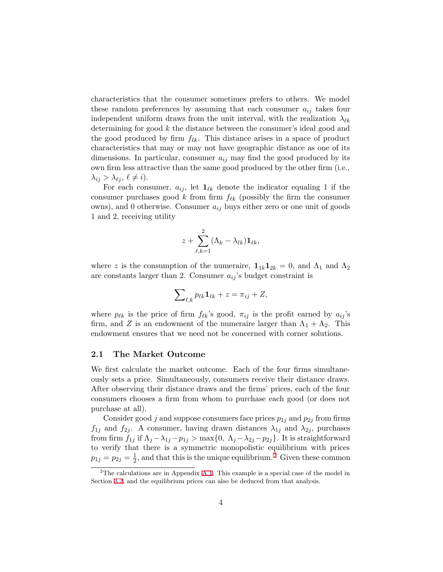<span id="page-6-0"></span>characteristics that the consumer sometimes prefers to others. We model these random preferences by assuming that each consumer  $a_{ij}$  takes four independent uniform draws from the unit interval, with the realization  $\lambda_{\ell k}$ determining for good k the distance between the consumer's ideal good and the good produced by firm  $f_{\ell k}$ . This distance arises in a space of product characteristics that may or may not have geographic distance as one of its dimensions. In particular, consumer  $a_{ij}$  may find the good produced by its own firm less attractive than the same good produced by the other firm (i.e.,  $\lambda_{ij} > \lambda_{\ell j}, \, \ell \neq i$ .

For each consumer,  $a_{ij}$ , let  $\mathbf{1}_{\ell k}$  denote the indicator equaling 1 if the consumer purchases good k from firm  $f_{\ell k}$  (possibly the firm the consumer owns), and 0 otherwise. Consumer  $a_{ij}$  buys either zero or one unit of goods 1 and 2, receiving utility

$$
z+\sum_{\ell,k=1}^2(\Lambda_k-\lambda_{\ell k})\mathbf{1}_{\ell k},
$$

where z is the consumption of the numeraire,  $\mathbf{1}_{1k} \mathbf{1}_{2k} = 0$ , and  $\Lambda_1$  and  $\Lambda_2$ are constants larger than 2. Consumer  $a_{ij}$ 's budget constraint is

$$
\sum\nolimits_{\ell,k} p_{\ell k} \mathbf{1}_{\ell k} + z = \pi_{ij} + Z,
$$

where  $p_{\ell k}$  is the price of firm  $f_{\ell k}$ 's good,  $\pi_{ij}$  is the profit earned by  $a_{ij}$ 's firm, and Z is an endowment of the numeraire larger than  $\Lambda_1 + \Lambda_2$ . This endowment ensures that we need not be concerned with corner solutions.

#### 2.1 The Market Outcome

We first calculate the market outcome. Each of the four firms simultaneously sets a price. Simultaneously, consumers receive their distance draws. After observing their distance draws and the firms' prices, each of the four consumers chooses a firm from whom to purchase each good (or does not purchase at all).

Consider good j and suppose consumers face prices  $p_{1j}$  and  $p_{2j}$  from firms  $f_{1j}$  and  $f_{2j}$ . A consumer, having drawn distances  $\lambda_{1j}$  and  $\lambda_{2j}$ , purchases from firm  $f_{1j}$  if  $\Lambda_j - \lambda_{1j} - p_{1j} > \max\{0, \Lambda_j - \lambda_{2j} - p_{2j}\}\.$  It is straightforward to verify that there is a symmetric monopolistic equilibrium with prices  $p_{1j} = p_{2j} = \frac{1}{2}$ , and that this is the unique equilibrium.<sup>2</sup> Given these common

<sup>&</sup>lt;sup>2</sup>The calculations are in Appendix [A.1.](#page-27-0) This example is a special case of the model in Section [3.2,](#page-11-0) and the equilibrium prices can also be deduced from that analysis.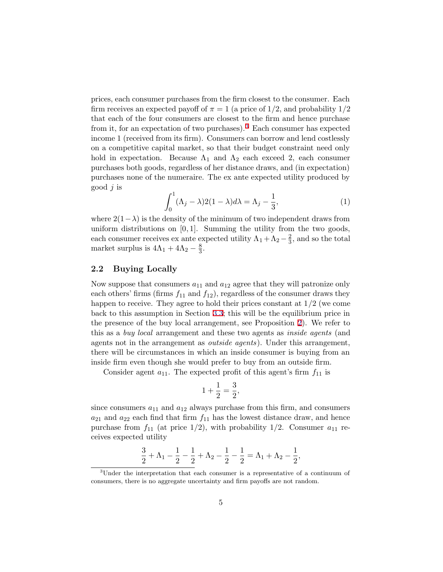<span id="page-7-0"></span>prices, each consumer purchases from the firm closest to the consumer. Each firm receives an expected payoff of  $\pi = 1$  (a price of  $1/2$ , and probability  $1/2$ that each of the four consumers are closest to the firm and hence purchase from it, for an expectation of two purchases).<sup>3</sup> Each consumer has expected income 1 (received from its firm). Consumers can borrow and lend costlessly on a competitive capital market, so that their budget constraint need only hold in expectation. Because  $\Lambda_1$  and  $\Lambda_2$  each exceed 2, each consumer purchases both goods, regardless of her distance draws, and (in expectation) purchases none of the numeraire. The ex ante expected utility produced by good  $j$  is

$$
\int_0^1 (\Lambda_j - \lambda) 2(1 - \lambda) d\lambda = \Lambda_j - \frac{1}{3},\tag{1}
$$

where  $2(1-\lambda)$  is the density of the minimum of two independent draws from uniform distributions on  $[0, 1]$ . Summing the utility from the two goods, each consumer receives ex ante expected utility  $\Lambda_1 + \Lambda_2 - \frac{2}{3}$ , and so the total market surplus is  $4\Lambda_1 + 4\Lambda_2 - \frac{8}{3}$ .

#### 2.2 Buying Locally

Now suppose that consumers  $a_{11}$  and  $a_{12}$  agree that they will patronize only each others' firms (firms  $f_{11}$  and  $f_{12}$ ), regardless of the consumer draws they happen to receive. They agree to hold their prices constant at  $1/2$  (we come back to this assumption in Section [3.3](#page-11-0); this will be the equilibrium price in the presence of the buy local arrangement, see Proposition [2](#page-13-0)). We refer to this as a *buy local* arrangement and these two agents as *inside agents* (and agents not in the arrangement as outside agents). Under this arrangement, there will be circumstances in which an inside consumer is buying from an inside firm even though she would prefer to buy from an outside firm.

Consider agent  $a_{11}$ . The expected profit of this agent's firm  $f_{11}$  is

$$
1 + \frac{1}{2} = \frac{3}{2},
$$

since consumers  $a_{11}$  and  $a_{12}$  always purchase from this firm, and consumers  $a_{21}$  and  $a_{22}$  each find that firm  $f_{11}$  has the lowest distance draw, and hence purchase from  $f_{11}$  (at price  $1/2$ ), with probability  $1/2$ . Consumer  $a_{11}$  receives expected utility

$$
\frac{3}{2} + \Lambda_1 - \frac{1}{2} - \frac{1}{2} + \Lambda_2 - \frac{1}{2} - \frac{1}{2} = \Lambda_1 + \Lambda_2 - \frac{1}{2},
$$

<sup>&</sup>lt;sup>3</sup>Under the interpretation that each consumer is a representative of a continuum of consumers, there is no aggregate uncertainty and firm payoffs are not random.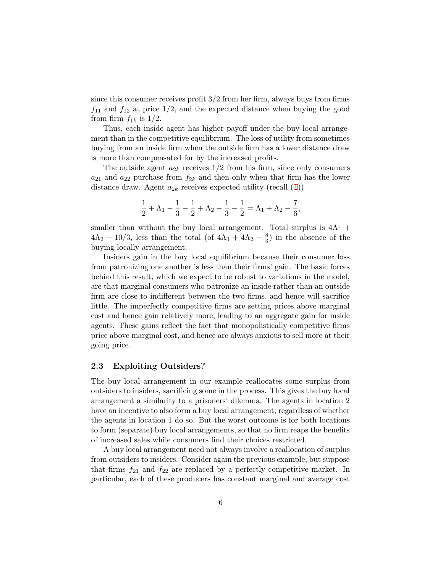<span id="page-8-0"></span>since this consumer receives profit  $3/2$  from her firm, always buys from firms  $f_{11}$  and  $f_{12}$  at price  $1/2$ , and the expected distance when buying the good from firm  $f_{1k}$  is  $1/2$ .

Thus, each inside agent has higher payoff under the buy local arrangement than in the competitive equilibrium. The loss of utility from sometimes buying from an inside firm when the outside firm has a lower distance draw is more than compensated for by the increased profits.

The outside agent  $a_{2k}$  receives  $1/2$  from his firm, since only consumers  $a_{21}$  and  $a_{22}$  purchase from  $f_{2k}$  and then only when that firm has the lower distance draw. Agent  $a_{2k}$  receives expected utility (recall  $(1)$  $(1)$ )

$$
\frac{1}{2}+\Lambda_1-\frac{1}{3}-\frac{1}{2}+\Lambda_2-\frac{1}{3}-\frac{1}{2}=\Lambda_1+\Lambda_2-\frac{7}{6},
$$

smaller than without the buy local arrangement. Total surplus is  $4\Lambda_1$  +  $4\Lambda_2 - 10/3$ , less than the total (of  $4\Lambda_1 + 4\Lambda_2 - \frac{8}{3}$ ) in the absence of the buying locally arrangement.

Insiders gain in the buy local equilibrium because their consumer loss from patronizing one another is less than their firms' gain. The basic forces behind this result, which we expect to be robust to variations in the model, are that marginal consumers who patronize an inside rather than an outside firm are close to indifferent between the two firms, and hence will sacrifice little. The imperfectly competitive firms are setting prices above marginal cost and hence gain relatively more, leading to an aggregate gain for inside agents. These gains reflect the fact that monopolistically competitive firms price above marginal cost, and hence are always anxious to sell more at their going price.

#### 2.3 Exploiting Outsiders?

The buy local arrangement in our example reallocates some surplus from outsiders to insiders, sacrificing some in the process. This gives the buy local arrangement a similarity to a prisoners' dilemma. The agents in location 2 have an incentive to also form a buy local arrangement, regardless of whether the agents in location 1 do so. But the worst outcome is for both locations to form (separate) buy local arrangements, so that no firm reaps the benefits of increased sales while consumers find their choices restricted.

A buy local arrangement need not always involve a reallocation of surplus from outsiders to insiders. Consider again the previous example, but suppose that firms  $f_{21}$  and  $f_{22}$  are replaced by a perfectly competitive market. In particular, each of these producers has constant marginal and average cost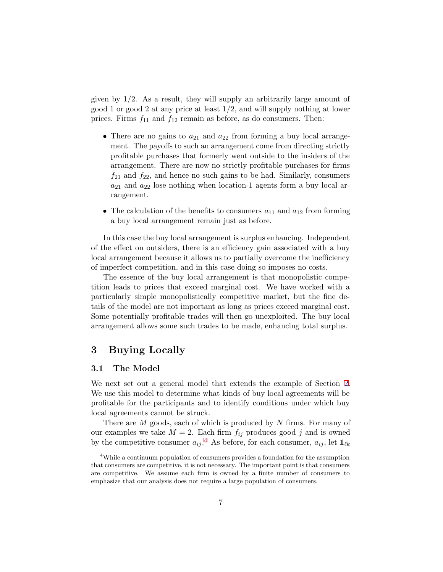<span id="page-9-0"></span>given by  $1/2$ . As a result, they will supply an arbitrarily large amount of good 1 or good 2 at any price at least 1/2, and will supply nothing at lower prices. Firms  $f_{11}$  and  $f_{12}$  remain as before, as do consumers. Then:

- There are no gains to  $a_{21}$  and  $a_{22}$  from forming a buy local arrangement. The payoffs to such an arrangement come from directing strictly profitable purchases that formerly went outside to the insiders of the arrangement. There are now no strictly profitable purchases for firms  $f_{21}$  and  $f_{22}$ , and hence no such gains to be had. Similarly, consumers  $a_{21}$  and  $a_{22}$  lose nothing when location-1 agents form a buy local arrangement.
- The calculation of the benefits to consumers  $a_{11}$  and  $a_{12}$  from forming a buy local arrangement remain just as before.

In this case the buy local arrangement is surplus enhancing. Independent of the effect on outsiders, there is an efficiency gain associated with a buy local arrangement because it allows us to partially overcome the inefficiency of imperfect competition, and in this case doing so imposes no costs.

The essence of the buy local arrangement is that monopolistic competition leads to prices that exceed marginal cost. We have worked with a particularly simple monopolistically competitive market, but the fine details of the model are not important as long as prices exceed marginal cost. Some potentially profitable trades will then go unexploited. The buy local arrangement allows some such trades to be made, enhancing total surplus.

## 3 Buying Locally

#### 3.1 The Model

We next set out a general model that extends the example of Section [2](#page-5-0). We use this model to determine what kinds of buy local agreements will be profitable for the participants and to identify conditions under which buy local agreements cannot be struck.

There are M goods, each of which is produced by N firms. For many of our examples we take  $M = 2$ . Each firm  $f_{ij}$  produces good j and is owned by the competitive consumer  $a_{ij}$ .<sup>4</sup> As before, for each consumer,  $a_{ij}$ , let  $\mathbf{1}_{\ell k}$ 

<sup>4</sup>While a continuum population of consumers provides a foundation for the assumption that consumers are competitive, it is not necessary. The important point is that consumers are competitive. We assume each firm is owned by a finite number of consumers to emphasize that our analysis does not require a large population of consumers.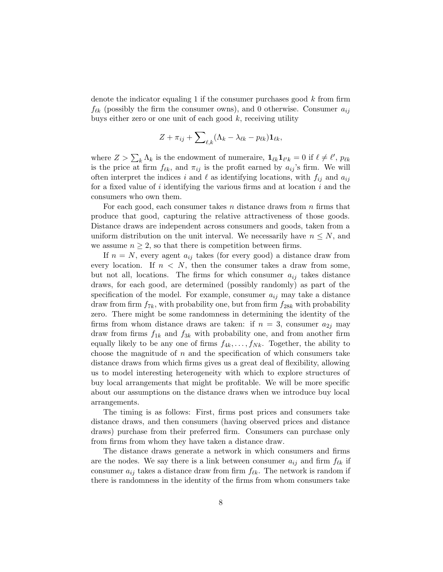denote the indicator equaling 1 if the consumer purchases good  $k$  from firm  $f_{\ell k}$  (possibly the firm the consumer owns), and 0 otherwise. Consumer  $a_{ij}$ buys either zero or one unit of each good  $k$ , receiving utility

$$
Z + \pi_{ij} + \sum_{\ell,k} (\Lambda_k - \lambda_{\ell k} - p_{\ell k}) \mathbf{1}_{\ell k},
$$

where  $Z > \sum_{k} \Lambda_k$  is the endowment of numeraire,  $\mathbf{1}_{\ell k} \mathbf{1}_{\ell' k} = 0$  if  $\ell \neq \ell'$ ,  $p_{\ell k}$ is the price at firm  $f_{\ell k}$ , and  $\pi_{ij}$  is the profit earned by  $a_{ij}$ 's firm. We will often interpret the indices i and  $\ell$  as identifying locations, with  $f_{ij}$  and  $a_{ij}$ for a fixed value of  $i$  identifying the various firms and at location  $i$  and the consumers who own them.

For each good, each consumer takes  $n$  distance draws from  $n$  firms that produce that good, capturing the relative attractiveness of those goods. Distance draws are independent across consumers and goods, taken from a uniform distribution on the unit interval. We necessarily have  $n \leq N$ , and we assume  $n \geq 2$ , so that there is competition between firms.

If  $n = N$ , every agent  $a_{ij}$  takes (for every good) a distance draw from every location. If  $n \leq N$ , then the consumer takes a draw from some, but not all, locations. The firms for which consumer  $a_{ij}$  takes distance draws, for each good, are determined (possibly randomly) as part of the specification of the model. For example, consumer  $a_{ij}$  may take a distance draw from firm  $f_{7k}$ , with probability one, but from firm  $f_{28k}$  with probability zero. There might be some randomness in determining the identity of the firms from whom distance draws are taken: if  $n = 3$ , consumer  $a_{2i}$  may draw from firms  $f_{1k}$  and  $f_{3k}$  with probability one, and from another firm equally likely to be any one of firms  $f_{4k}, \ldots, f_{Nk}$ . Together, the ability to choose the magnitude of  $n$  and the specification of which consumers take distance draws from which firms gives us a great deal of flexibility, allowing us to model interesting heterogeneity with which to explore structures of buy local arrangements that might be profitable. We will be more specific about our assumptions on the distance draws when we introduce buy local arrangements.

The timing is as follows: First, firms post prices and consumers take distance draws, and then consumers (having observed prices and distance draws) purchase from their preferred firm. Consumers can purchase only from firms from whom they have taken a distance draw.

The distance draws generate a network in which consumers and firms are the nodes. We say there is a link between consumer  $a_{ij}$  and firm  $f_{\ell k}$  if consumer  $a_{ij}$  takes a distance draw from firm  $f_{\ell k}$ . The network is random if there is randomness in the identity of the firms from whom consumers take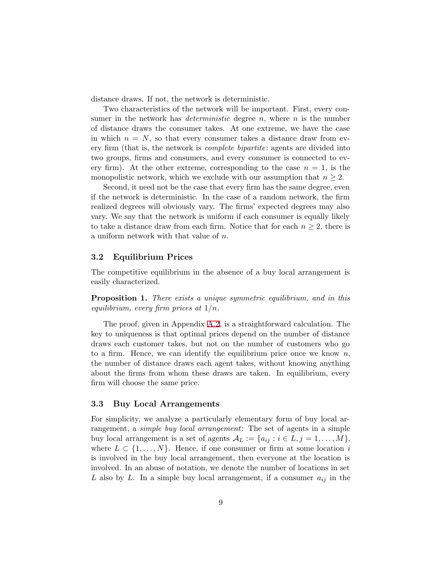<span id="page-11-0"></span>distance draws. If not, the network is deterministic.

Two characteristics of the network will be important. First, every consumer in the network has *deterministic* degree  $n$ , where  $n$  is the number of distance draws the consumer takes. At one extreme, we have the case in which  $n = N$ , so that every consumer takes a distance draw from every firm (that is, the network is complete bipartite: agents are divided into two groups, firms and consumers, and every consumer is connected to every firm). At the other extreme, corresponding to the case  $n = 1$ , is the monopolistic network, which we exclude with our assumption that  $n \geq 2$ .

Second, it need not be the case that every firm has the same degree, even if the network is deterministic. In the case of a random network, the firm realized degrees will obviously vary. The firms' expected degrees may also vary. We say that the network is uniform if each consumer is equally likely to take a distance draw from each firm. Notice that for each  $n \geq 2$ , there is a uniform network with that value of n.

#### 3.2 Equilibrium Prices

The competitive equilibrium in the absence of a buy local arrangement is easily characterized.

Proposition 1. There exists a unique symmetric equilibrium, and in this equilibrium, every firm prices at  $1/n$ .

The proof, given in Appendix [A.2,](#page-29-0) is a straightforward calculation. The key to uniqueness is that optimal prices depend on the number of distance draws each customer takes, but not on the number of customers who go to a firm. Hence, we can identify the equilibrium price once we know  $n$ , the number of distance draws each agent takes, without knowing anything about the firms from whom these draws are taken. In equilibrium, every firm will choose the same price.

#### 3.3 Buy Local Arrangements

For simplicity, we analyze a particularly elementary form of buy local arrangement, a *simple buy local arrangement*: The set of agents in a simple buy local arrangement is a set of agents  $A_L := \{a_{ij} : i \in L, j = 1, \ldots, M\},\$ where  $L \subset \{1, \ldots, N\}$ . Hence, if one consumer or firm at some location i is involved in the buy local arrangement, then everyone at the location is involved. In an abuse of notation, we denote the number of locations in set L also by L. In a simple buy local arrangement, if a consumer  $a_{ij}$  in the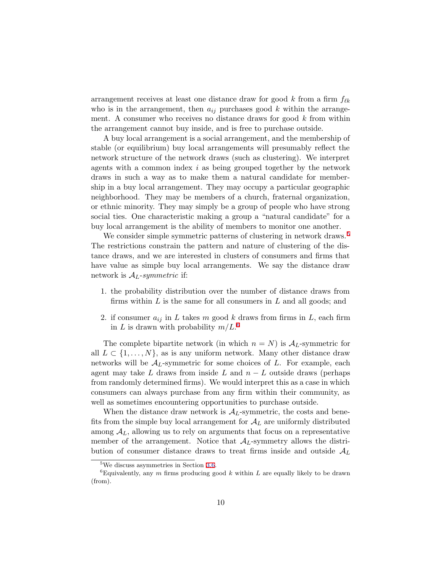arrangement receives at least one distance draw for good k from a firm  $f_{\ell k}$ who is in the arrangement, then  $a_{ij}$  purchases good k within the arrangement. A consumer who receives no distance draws for good  $k$  from within the arrangement cannot buy inside, and is free to purchase outside.

A buy local arrangement is a social arrangement, and the membership of stable (or equilibrium) buy local arrangements will presumably reflect the network structure of the network draws (such as clustering). We interpret agents with a common index  $i$  as being grouped together by the network draws in such a way as to make them a natural candidate for membership in a buy local arrangement. They may occupy a particular geographic neighborhood. They may be members of a church, fraternal organization, or ethnic minority. They may simply be a group of people who have strong social ties. One characteristic making a group a "natural candidate" for a buy local arrangement is the ability of members to monitor one another.

We consider simple symmetric patterns of clustering in network draws.<sup>5</sup> The restrictions constrain the pattern and nature of clustering of the distance draws, and we are interested in clusters of consumers and firms that have value as simple buy local arrangements. We say the distance draw network is  $A_L$ -symmetric if:

- 1. the probability distribution over the number of distance draws from firms within  $L$  is the same for all consumers in  $L$  and all goods; and
- 2. if consumer  $a_{ij}$  in L takes m good k draws from firms in L, each firm in L is drawn with probability  $m/L$ .<sup>6</sup>

The complete bipartite network (in which  $n = N$ ) is  $\mathcal{A}_L$ -symmetric for all  $L \subset \{1, \ldots, N\}$ , as is any uniform network. Many other distance draw networks will be  $\mathcal{A}_L$ -symmetric for some choices of L. For example, each agent may take L draws from inside L and  $n - L$  outside draws (perhaps from randomly determined firms). We would interpret this as a case in which consumers can always purchase from any firm within their community, as well as sometimes encountering opportunities to purchase outside.

When the distance draw network is  $A<sub>L</sub>$ -symmetric, the costs and benefits from the simple buy local arrangement for  $A_L$  are uniformly distributed among  $A_L$ , allowing us to rely on arguments that focus on a representative member of the arrangement. Notice that  $\mathcal{A}_L$ -symmetry allows the distribution of consumer distance draws to treat firms inside and outside  $A_L$ 

<sup>5</sup>We discuss asymmetries in Section [3.6](#page-20-0).

<sup>&</sup>lt;sup>6</sup>Equivalently, any m firms producing good k within L are equally likely to be drawn (from).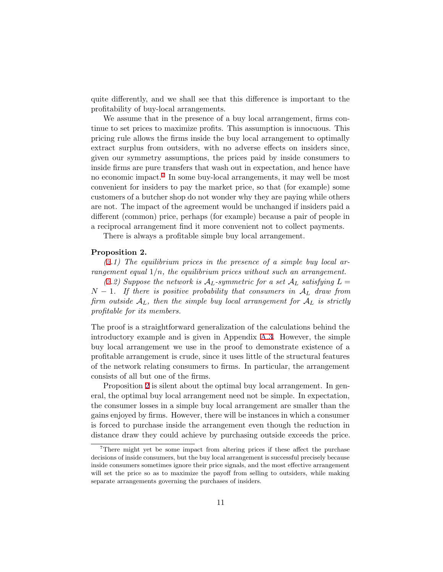<span id="page-13-0"></span>quite differently, and we shall see that this difference is important to the profitability of buy-local arrangements.

We assume that in the presence of a buy local arrangement, firms continue to set prices to maximize profits. This assumption is innocuous. This pricing rule allows the firms inside the buy local arrangement to optimally extract surplus from outsiders, with no adverse effects on insiders since, given our symmetry assumptions, the prices paid by inside consumers to inside firms are pure transfers that wash out in expectation, and hence have no economic impact.<sup>7</sup> In some buy-local arrangements, it may well be most convenient for insiders to pay the market price, so that (for example) some customers of a butcher shop do not wonder why they are paying while others are not. The impact of the agreement would be unchanged if insiders paid a different (common) price, perhaps (for example) because a pair of people in a reciprocal arrangement find it more convenient not to collect payments.

There is always a profitable simple buy local arrangement.

#### Proposition 2.

 $(2.1)$  The equilibrium prices in the presence of a simple buy local arrangement equal  $1/n$ , the equilibrium prices without such an arrangement.

(2.2) Suppose the network is  $\mathcal{A}_L$ -symmetric for a set  $\mathcal{A}_L$  satisfying  $L =$  $N-1$ . If there is positive probability that consumers in  $\mathcal{A}_L$  draw from firm outside  $A_L$ , then the simple buy local arrangement for  $A_L$  is strictly profitable for its members.

The proof is a straightforward generalization of the calculations behind the introductory example and is given in Appendix [A.3.](#page-31-0) However, the simple buy local arrangement we use in the proof to demonstrate existence of a profitable arrangement is crude, since it uses little of the structural features of the network relating consumers to firms. In particular, the arrangement consists of all but one of the firms.

Proposition 2 is silent about the optimal buy local arrangement. In general, the optimal buy local arrangement need not be simple. In expectation, the consumer losses in a simple buy local arrangement are smaller than the gains enjoyed by firms. However, there will be instances in which a consumer is forced to purchase inside the arrangement even though the reduction in distance draw they could achieve by purchasing outside exceeds the price.

<sup>&</sup>lt;sup>7</sup>There might yet be some impact from altering prices if these affect the purchase decisions of inside consumers, but the buy local arrangement is successful precisely because inside consumers sometimes ignore their price signals, and the most effective arrangement will set the price so as to maximize the payoff from selling to outsiders, while making separate arrangements governing the purchases of insiders.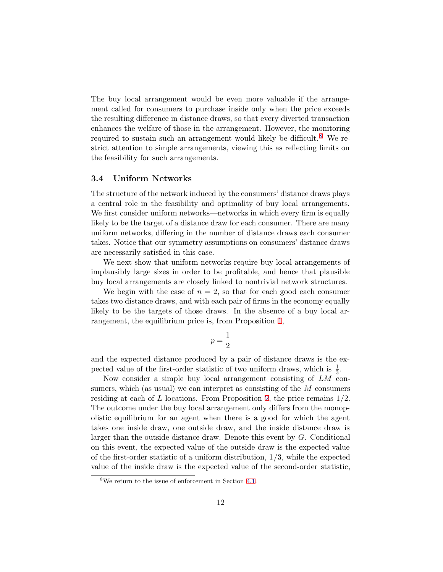<span id="page-14-0"></span>The buy local arrangement would be even more valuable if the arrangement called for consumers to purchase inside only when the price exceeds the resulting difference in distance draws, so that every diverted transaction enhances the welfare of those in the arrangement. However, the monitoring required to sustain such an arrangement would likely be difficult.<sup>8</sup> We restrict attention to simple arrangements, viewing this as reflecting limits on the feasibility for such arrangements.

#### 3.4 Uniform Networks

The structure of the network induced by the consumers' distance draws plays a central role in the feasibility and optimality of buy local arrangements. We first consider uniform networks—networks in which every firm is equally likely to be the target of a distance draw for each consumer. There are many uniform networks, differing in the number of distance draws each consumer takes. Notice that our symmetry assumptions on consumers' distance draws are necessarily satisfied in this case.

We next show that uniform networks require buy local arrangements of implausibly large sizes in order to be profitable, and hence that plausible buy local arrangements are closely linked to nontrivial network structures.

We begin with the case of  $n = 2$ , so that for each good each consumer takes two distance draws, and with each pair of firms in the economy equally likely to be the targets of those draws. In the absence of a buy local arrangement, the equilibrium price is, from Proposition [1,](#page-11-0)

$$
p=\frac{1}{2}
$$

and the expected distance produced by a pair of distance draws is the expected value of the first-order statistic of two uniform draws, which is  $\frac{1}{3}$ .

Now consider a simple buy local arrangement consisting of LM consumers, which (as usual) we can interpret as consisting of the M consumers residing at each of L locations. From Proposition [2,](#page-13-0) the price remains  $1/2$ . The outcome under the buy local arrangement only differs from the monopolistic equilibrium for an agent when there is a good for which the agent takes one inside draw, one outside draw, and the inside distance draw is larger than the outside distance draw. Denote this event by G. Conditional on this event, the expected value of the outside draw is the expected value of the first-order statistic of a uniform distribution,  $1/3$ , while the expected value of the inside draw is the expected value of the second-order statistic,

<sup>8</sup>We return to the issue of enforcement in Section [4.1.](#page-22-0)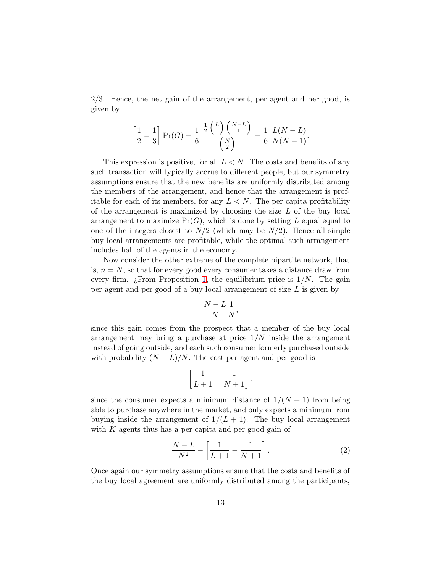<span id="page-15-0"></span>2/3. Hence, the net gain of the arrangement, per agent and per good, is given by

$$
\left[\frac{1}{2} - \frac{1}{3}\right]Pr(G) = \frac{1}{6} \frac{\frac{1}{2} {L \choose 1} {N-L \choose 1}} {N \choose 2} = \frac{1}{6} \frac{L(N-L)}{N(N-1)}.
$$

This expression is positive, for all  $L < N$ . The costs and benefits of any such transaction will typically accrue to different people, but our symmetry assumptions ensure that the new benefits are uniformly distributed among the members of the arrangement, and hence that the arrangement is profitable for each of its members, for any  $L < N$ . The per capita profitability of the arrangement is maximized by choosing the size  $L$  of the buy local arrangement to maximize  $Pr(G)$ , which is done by setting L equal equal to one of the integers closest to  $N/2$  (which may be  $N/2$ ). Hence all simple buy local arrangements are profitable, while the optimal such arrangement includes half of the agents in the economy.

Now consider the other extreme of the complete bipartite network, that is,  $n = N$ , so that for every good every consumer takes a distance draw from every firm.  $\chi$ From Proposition [1](#page-11-0), the equilibrium price is  $1/N$ . The gain per agent and per good of a buy local arrangement of size L is given by

$$
\frac{N-L}{N}\frac{1}{N},
$$

since this gain comes from the prospect that a member of the buy local arrangement may bring a purchase at price  $1/N$  inside the arrangement instead of going outside, and each such consumer formerly purchased outside with probability  $(N - L)/N$ . The cost per agent and per good is

$$
\left[\frac{1}{L+1}-\frac{1}{N+1}\right],
$$

since the consumer expects a minimum distance of  $1/(N+1)$  from being able to purchase anywhere in the market, and only expects a minimum from buying inside the arrangement of  $1/(L+1)$ . The buy local arrangement with  $K$  agents thus has a per capita and per good gain of

$$
\frac{N-L}{N^2} - \left[\frac{1}{L+1} - \frac{1}{N+1}\right].
$$
 (2)

Once again our symmetry assumptions ensure that the costs and benefits of the buy local agreement are uniformly distributed among the participants,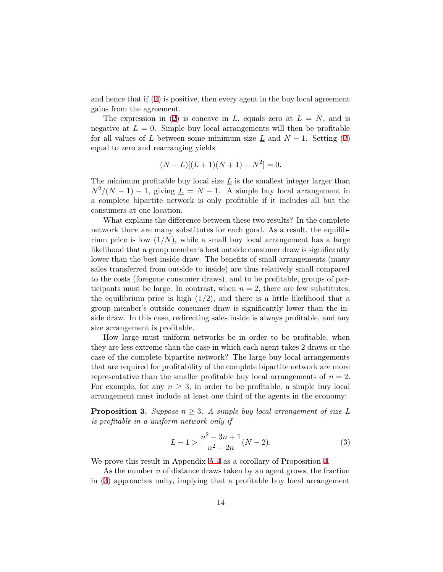<span id="page-16-0"></span>and hence that if ([2\)](#page-15-0) is positive, then every agent in the buy local agreement gains from the agreement.

The expression in ([2](#page-15-0)) is concave in L, equals zero at  $L = N$ , and is negative at  $L = 0$ . Simple buy local arrangements will then be profitable for all values of L between some minimum size  $\underline{L}$  and  $N-1$ . Setting ([2](#page-15-0)) equal to zero and rearranging yields

$$
(N - L)[(L + 1)(N + 1) - N2] = 0.
$$

The minimum profitable buy local size  $\underline{L}$  is the smallest integer larger than  $N^2/(N-1)-1$ , giving  $\underline{L}=N-1$ . A simple buy local arrangement in a complete bipartite network is only profitable if it includes all but the consumers at one location.

What explains the difference between these two results? In the complete network there are many substitutes for each good. As a result, the equilibrium price is low  $(1/N)$ , while a small buy local arrangement has a large likelihood that a group member's best outside consumer draw is significantly lower than the best inside draw. The benefits of small arrangements (many sales transferred from outside to inside) are thus relatively small compared to the costs (foregone consumer draws), and to be profitable, groups of participants must be large. In contrast, when  $n = 2$ , there are few substitutes, the equilibrium price is high  $(1/2)$ , and there is a little likelihood that a group member's outside consumer draw is significantly lower than the inside draw. In this case, redirecting sales inside is always profitable, and any size arrangement is profitable.

How large must uniform networks be in order to be profitable, when they are less extreme than the case in which each agent takes 2 draws or the case of the complete bipartite network? The large buy local arrangements that are required for profitability of the complete bipartite network are more representative than the smaller profitable buy local arrangements of  $n = 2$ . For example, for any  $n \geq 3$ , in order to be profitable, a simple buy local arrangement must include at least one third of the agents in the economy:

**Proposition 3.** Suppose  $n \geq 3$ . A simple buy local arrangement of size L is profitable in a uniform network only if

$$
L - 1 > \frac{n^2 - 3n + 1}{n^2 - 2n} (N - 2).
$$
 (3)

We prove this result in Appendix [A.4](#page-31-0) as a corollary of Proposition [4](#page-17-0).

As the number n of distance draws taken by an agent grows, the fraction in (3) approaches unity, implying that a profitable buy local arrangement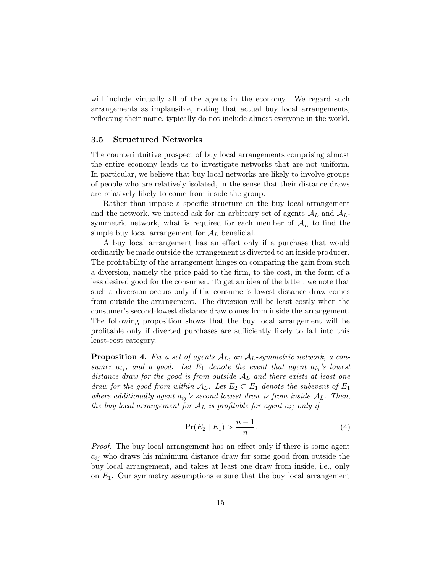<span id="page-17-0"></span>will include virtually all of the agents in the economy. We regard such arrangements as implausible, noting that actual buy local arrangements, reflecting their name, typically do not include almost everyone in the world.

#### 3.5 Structured Networks

The counterintuitive prospect of buy local arrangements comprising almost the entire economy leads us to investigate networks that are not uniform. In particular, we believe that buy local networks are likely to involve groups of people who are relatively isolated, in the sense that their distance draws are relatively likely to come from inside the group.

Rather than impose a specific structure on the buy local arrangement and the network, we instead ask for an arbitrary set of agents  $\mathcal{A}_L$  and  $\mathcal{A}_L$ symmetric network, what is required for each member of  $A_L$  to find the simple buy local arrangement for  $A_L$  beneficial.

A buy local arrangement has an effect only if a purchase that would ordinarily be made outside the arrangement is diverted to an inside producer. The profitability of the arrangement hinges on comparing the gain from such a diversion, namely the price paid to the firm, to the cost, in the form of a less desired good for the consumer. To get an idea of the latter, we note that such a diversion occurs only if the consumer's lowest distance draw comes from outside the arrangement. The diversion will be least costly when the consumer's second-lowest distance draw comes from inside the arrangement. The following proposition shows that the buy local arrangement will be profitable only if diverted purchases are sufficiently likely to fall into this least-cost category.

**Proposition 4.** Fix a set of agents  $A_L$ , an  $A_L$ -symmetric network, a consumer  $a_{ij}$ , and a good. Let  $E_1$  denote the event that agent  $a_{ij}$ 's lowest distance draw for the good is from outside  $A_L$  and there exists at least one draw for the good from within  $A_L$ . Let  $E_2 \subset E_1$  denote the subevent of  $E_1$ where additionally agent  $a_{ij}$ 's second lowest draw is from inside  $A_L$ . Then, the buy local arrangement for  $A_L$  is profitable for agent  $a_{ij}$  only if

$$
\Pr(E_2 \mid E_1) > \frac{n-1}{n}.\tag{4}
$$

Proof. The buy local arrangement has an effect only if there is some agent  $a_{ij}$  who draws his minimum distance draw for some good from outside the buy local arrangement, and takes at least one draw from inside, i.e., only on  $E_1$ . Our symmetry assumptions ensure that the buy local arrangement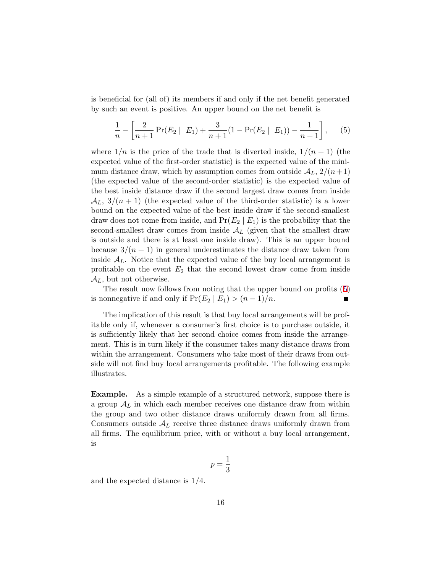is beneficial for (all of) its members if and only if the net benefit generated by such an event is positive. An upper bound on the net benefit is

$$
\frac{1}{n} - \left[ \frac{2}{n+1} \Pr(E_2 \mid E_1) + \frac{3}{n+1} (1 - \Pr(E_2 \mid E_1)) - \frac{1}{n+1} \right], \quad (5)
$$

where  $1/n$  is the price of the trade that is diverted inside,  $1/(n+1)$  (the expected value of the first-order statistic) is the expected value of the minimum distance draw, which by assumption comes from outside  $\mathcal{A}_L$ ,  $2/(n+1)$ (the expected value of the second-order statistic) is the expected value of the best inside distance draw if the second largest draw comes from inside  $\mathcal{A}_L$ ,  $3/(n+1)$  (the expected value of the third-order statistic) is a lower bound on the expected value of the best inside draw if the second-smallest draw does not come from inside, and  $Pr(E_2 | E_1)$  is the probability that the second-smallest draw comes from inside  $\mathcal{A}_L$  (given that the smallest draw is outside and there is at least one inside draw). This is an upper bound because  $3/(n+1)$  in general underestimates the distance draw taken from inside  $A_L$ . Notice that the expected value of the buy local arrangement is profitable on the event  $E_2$  that the second lowest draw come from inside  $\mathcal{A}_L$ , but not otherwise.

The result now follows from noting that the upper bound on profits (5) is nonnegative if and only if  $Pr(E_2 | E_1) > (n-1)/n$ .

The implication of this result is that buy local arrangements will be profitable only if, whenever a consumer's first choice is to purchase outside, it is sufficiently likely that her second choice comes from inside the arrangement. This is in turn likely if the consumer takes many distance draws from within the arrangement. Consumers who take most of their draws from outside will not find buy local arrangements profitable. The following example illustrates.

Example. As a simple example of a structured network, suppose there is a group  $A_L$  in which each member receives one distance draw from within the group and two other distance draws uniformly drawn from all firms. Consumers outside  $A_L$  receive three distance draws uniformly drawn from all firms. The equilibrium price, with or without a buy local arrangement, is

$$
p=\frac{1}{3}
$$

and the expected distance is 1/4.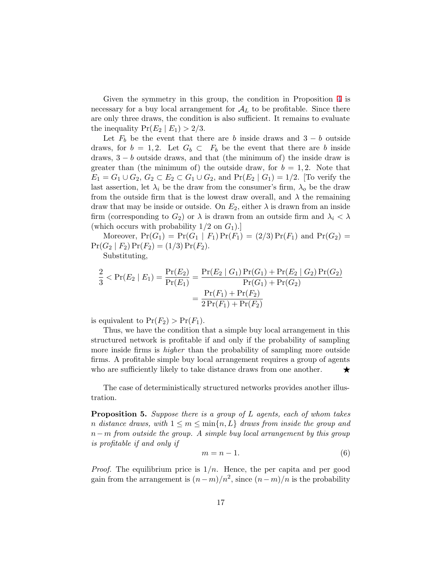<span id="page-19-0"></span>Given the symmetry in this group, the condition in Proposition [4](#page-17-0) is necessary for a buy local arrangement for  $A_L$  to be profitable. Since there are only three draws, the condition is also sufficient. It remains to evaluate the inequality  $Pr(E_2 | E_1) > 2/3$ .

Let  $F_b$  be the event that there are b inside draws and  $3 - b$  outside draws, for  $b = 1, 2$ . Let  $G_b \subset F_b$  be the event that there are b inside draws,  $3 - b$  outside draws, and that (the minimum of) the inside draw is greater than (the minimum of) the outside draw, for  $b = 1, 2$ . Note that  $E_1 = G_1 \cup G_2, G_2 \subset E_2 \subset G_1 \cup G_2$ , and  $Pr(E_2 | G_1) = 1/2$ . [To verify the last assertion, let  $\lambda_i$  be the draw from the consumer's firm,  $\lambda_o$  be the draw from the outside firm that is the lowest draw overall, and  $\lambda$  the remaining draw that may be inside or outside. On  $E_2$ , either  $\lambda$  is drawn from an inside firm (corresponding to  $G_2$ ) or  $\lambda$  is drawn from an outside firm and  $\lambda_i < \lambda$ (which occurs with probability  $1/2$  on  $G_1$ ).

Moreover,  $Pr(G_1) = Pr(G_1 | F_1) Pr(F_1) = (2/3) Pr(F_1)$  and  $Pr(G_2) =$  $Pr(G_2 | F_2) Pr(F_2) = (1/3) Pr(F_2).$ 

Substituting,

$$
\frac{2}{3} < \Pr(E_2 \mid E_1) = \frac{\Pr(E_2)}{\Pr(E_1)} = \frac{\Pr(E_2 \mid G_1) \Pr(G_1) + \Pr(E_2 \mid G_2) \Pr(G_2)}{\Pr(G_1) + \Pr(G_2)} = \frac{\Pr(F_1) + \Pr(F_2)}{2 \Pr(F_1) + \Pr(F_2)}
$$

is equivalent to  $Pr(F_2) > Pr(F_1)$ .

Thus, we have the condition that a simple buy local arrangement in this structured network is profitable if and only if the probability of sampling more inside firms is *higher* than the probability of sampling more outside firms. A profitable simple buy local arrangement requires a group of agents who are sufficiently likely to take distance draws from one another.  $\star$ 

The case of deterministically structured networks provides another illustration.

**Proposition 5.** Suppose there is a group of  $L$  agents, each of whom takes n distance draws, with  $1 \leq m \leq \min\{n, L\}$  draws from inside the group and  $n-m$  from outside the group. A simple buy local arrangement by this group is profitable if and only if

$$
m = n - 1.\t\t(6)
$$

*Proof.* The equilibrium price is  $1/n$ . Hence, the per capita and per good gain from the arrangement is  $(n-m)/n^2$ , since  $(n-m)/n$  is the probability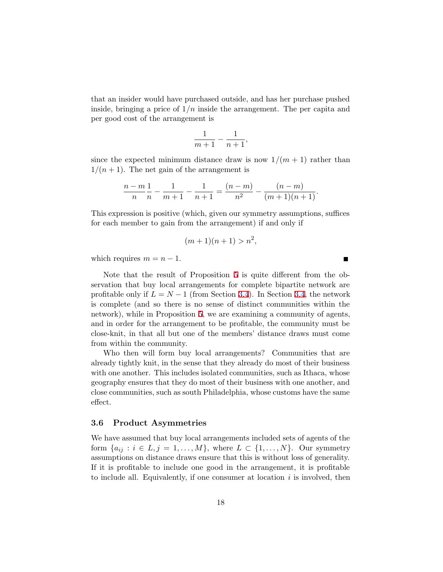<span id="page-20-0"></span>that an insider would have purchased outside, and has her purchase pushed inside, bringing a price of  $1/n$  inside the arrangement. The per capita and per good cost of the arrangement is

$$
\frac{1}{m+1} - \frac{1}{n+1},
$$

since the expected minimum distance draw is now  $1/(m+1)$  rather than  $1/(n+1)$ . The net gain of the arrangement is

$$
\frac{n-m}{n}\frac{1}{n} - \frac{1}{m+1} - \frac{1}{n+1} = \frac{(n-m)}{n^2} - \frac{(n-m)}{(m+1)(n+1)}.
$$

This expression is positive (which, given our symmetry assumptions, suffices for each member to gain from the arrangement) if and only if

$$
(m+1)(n+1) > n^2,
$$

 $\blacksquare$ 

which requires  $m = n - 1$ .

Note that the result of Proposition [5](#page-19-0) is quite different from the observation that buy local arrangements for complete bipartite network are profitable only if  $L = N - 1$  (from Section [3.4\)](#page-14-0). In Section [3.4](#page-14-0), the network is complete (and so there is no sense of distinct communities within the network), while in Proposition [5,](#page-19-0) we are examining a community of agents, and in order for the arrangement to be profitable, the community must be close-knit, in that all but one of the members' distance draws must come from within the community.

Who then will form buy local arrangements? Communities that are already tightly knit, in the sense that they already do most of their business with one another. This includes isolated communities, such as Ithaca, whose geography ensures that they do most of their business with one another, and close communities, such as south Philadelphia, whose customs have the same effect.

#### 3.6 Product Asymmetries

We have assumed that buy local arrangements included sets of agents of the form  $\{a_{ij}: i \in L, j = 1, \ldots, M\}$ , where  $L \subset \{1, \ldots, N\}$ . Our symmetry assumptions on distance draws ensure that this is without loss of generality. If it is profitable to include one good in the arrangement, it is profitable to include all. Equivalently, if one consumer at location  $i$  is involved, then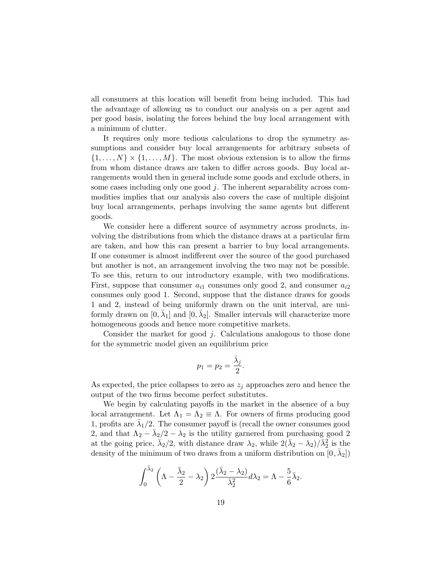all consumers at this location will benefit from being included. This had the advantage of allowing us to conduct our analysis on a per agent and per good basis, isolating the forces behind the buy local arrangement with a minimum of clutter.

It requires only more tedious calculations to drop the symmetry assumptions and consider buy local arrangements for arbitrary subsets of  $\{1, \ldots, N\} \times \{1, \ldots, M\}$ . The most obvious extension is to allow the firms from whom distance draws are taken to differ across goods. Buy local arrangements would then in general include some goods and exclude others, in some cases including only one good j. The inherent separability across commodities implies that our analysis also covers the case of multiple disjoint buy local arrangements, perhaps involving the same agents but different goods.

We consider here a different source of asymmetry across products, involving the distributions from which the distance draws at a particular firm are taken, and how this can present a barrier to buy local arrangements. If one consumer is almost indifferent over the source of the good purchased but another is not, an arrangement involving the two may not be possible. To see this, return to our introductory example, with two modifications. First, suppose that consumer  $a_{i1}$  consumes only good 2, and consumer  $a_{i2}$ consumes only good 1. Second, suppose that the distance draws for goods 1 and 2, instead of being uniformly drawn on the unit interval, are uniformly drawn on  $[0, \bar{\lambda}_1]$  and  $[0, \bar{\lambda}_2]$ . Smaller intervals will characterize more homogeneous goods and hence more competitive markets.

Consider the market for good j. Calculations analogous to those done for the symmetric model given an equilibrium price

$$
p_1=p_2=\frac{\bar{\lambda}_j}{2}.
$$

As expected, the price collapses to zero as  $z_j$  approaches zero and hence the output of the two firms become perfect substitutes.

We begin by calculating payoffs in the market in the absence of a buy local arrangement. Let  $\Lambda_1 = \Lambda_2 \equiv \Lambda$ . For owners of firms producing good 1, profits are  $\lambda_1/2$ . The consumer payoff is (recall the owner consumes good 2, and that  $\Lambda_2 - \bar{\lambda}_2/2 - \lambda_2$  is the utility garnered from purchasing good 2 at the going price,  $\vec{\lambda}_2/2$ , with distance draw  $\lambda_2$ , while  $2(\vec{\lambda}_2 - \lambda_2)/\vec{\lambda}_2^2$  is the density of the minimum of two draws from a uniform distribution on  $[0, \lambda_2]$ 

$$
\int_0^{\bar{\lambda}_2} \left( \Lambda - \frac{\bar{\lambda}_2}{2} - \lambda_2 \right) 2 \frac{(\bar{\lambda}_2 - \lambda_2)}{\bar{\lambda}_2^2} d\lambda_2 = \Lambda - \frac{5}{6} \bar{\lambda}_2.
$$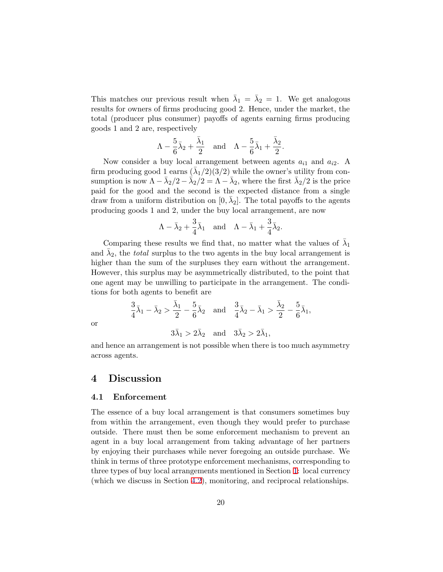<span id="page-22-0"></span>This matches our previous result when  $\bar{\lambda}_1 = \bar{\lambda}_2 = 1$ . We get analogous results for owners of firms producing good 2. Hence, under the market, the total (producer plus consumer) payoffs of agents earning firms producing goods 1 and 2 are, respectively

$$
\Lambda - \frac{5}{6}\bar{\lambda}_2 + \frac{\bar{\lambda}_1}{2} \quad \text{and} \quad \Lambda - \frac{5}{6}\bar{\lambda}_1 + \frac{\bar{\lambda}_2}{2}.
$$

Now consider a buy local arrangement between agents  $a_{i1}$  and  $a_{i2}$ . A firm producing good 1 earns  $(\bar{\lambda}_1/2)(3/2)$  while the owner's utility from consumption is now  $\Lambda - \bar{\lambda}_2/2 - \bar{\lambda}_2/2 = \Lambda - \bar{\lambda}_2$ , where the first  $\bar{\lambda}_2/2$  is the price paid for the good and the second is the expected distance from a single draw from a uniform distribution on  $[0, \lambda_2]$ . The total payoffs to the agents producing goods 1 and 2, under the buy local arrangement, are now

$$
\Lambda - \bar{\lambda}_2 + \frac{3}{4}\bar{\lambda}_1
$$
 and  $\Lambda - \bar{\lambda}_1 + \frac{3}{4}\bar{\lambda}_2$ .

Comparing these results we find that, no matter what the values of  $\bar{\lambda}_1$ and  $\lambda_2$ , the *total* surplus to the two agents in the buy local arrangement is higher than the sum of the surpluses they earn without the arrangement. However, this surplus may be asymmetrically distributed, to the point that one agent may be unwilling to participate in the arrangement. The conditions for both agents to benefit are

$$
\frac{3}{4}\bar{\lambda}_1 - \bar{\lambda}_2 > \frac{\bar{\lambda}_1}{2} - \frac{5}{6}\bar{\lambda}_2 \quad \text{and} \quad \frac{3}{4}\bar{\lambda}_2 - \bar{\lambda}_1 > \frac{\bar{\lambda}_2}{2} - \frac{5}{6}\bar{\lambda}_1,
$$
  

$$
3\bar{\lambda}_1 > 2\bar{\lambda}_2 \quad \text{and} \quad 3\bar{\lambda}_2 > 2\bar{\lambda}_1,
$$

or

and hence an arrangement is not possible when there is too much asymmetry across agents.

### 4 Discussion

#### 4.1 Enforcement

The essence of a buy local arrangement is that consumers sometimes buy from within the arrangement, even though they would prefer to purchase outside. There must then be some enforcement mechanism to prevent an agent in a buy local arrangement from taking advantage of her partners by enjoying their purchases while never foregoing an outside purchase. We think in terms of three prototype enforcement mechanisms, corresponding to three types of buy local arrangements mentioned in Section [1](#page-3-0): local currency (which we discuss in Section [4.2\)](#page-24-0), monitoring, and reciprocal relationships.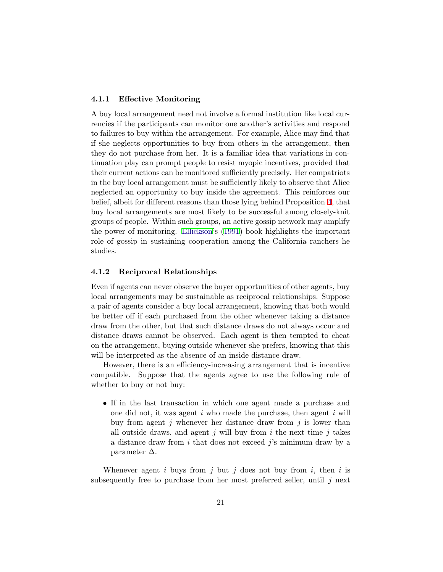#### <span id="page-23-0"></span>4.1.1 Effective Monitoring

A buy local arrangement need not involve a formal institution like local currencies if the participants can monitor one another's activities and respond to failures to buy within the arrangement. For example, Alice may find that if she neglects opportunities to buy from others in the arrangement, then they do not purchase from her. It is a familiar idea that variations in continuation play can prompt people to resist myopic incentives, provided that their current actions can be monitored sufficiently precisely. Her compatriots in the buy local arrangement must be sufficiently likely to observe that Alice neglected an opportunity to buy inside the agreement. This reinforces our belief, albeit for different reasons than those lying behind Proposition [4](#page-17-0), that buy local arrangements are most likely to be successful among closely-knit groups of people. Within such groups, an active gossip network may amplify the power of monitoring. [Ellickson'](#page-32-0)s [\(1991](#page-32-0)) book highlights the important role of gossip in sustaining cooperation among the California ranchers he studies.

#### 4.1.2 Reciprocal Relationships

Even if agents can never observe the buyer opportunities of other agents, buy local arrangements may be sustainable as reciprocal relationships. Suppose a pair of agents consider a buy local arrangement, knowing that both would be better off if each purchased from the other whenever taking a distance draw from the other, but that such distance draws do not always occur and distance draws cannot be observed. Each agent is then tempted to cheat on the arrangement, buying outside whenever she prefers, knowing that this will be interpreted as the absence of an inside distance draw.

However, there is an efficiency-increasing arrangement that is incentive compatible. Suppose that the agents agree to use the following rule of whether to buy or not buy:

• If in the last transaction in which one agent made a purchase and one did not, it was agent  $i$  who made the purchase, then agent  $i$  will buy from agent j whenever her distance draw from j is lower than all outside draws, and agent  $j$  will buy from  $i$  the next time  $j$  takes a distance draw from i that does not exceed j's minimum draw by a parameter  $\Delta$ .

Whenever agent i buys from j but j does not buy from i, then i is subsequently free to purchase from her most preferred seller, until  $j$  next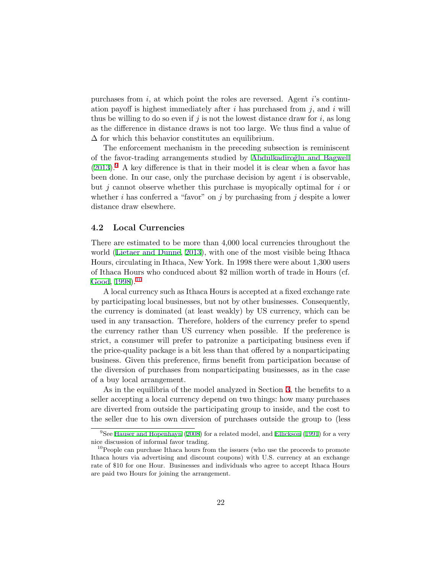<span id="page-24-0"></span>purchases from  $i$ , at which point the roles are reversed. Agent  $i$ 's continuation payoff is highest immediately after  $i$  has purchased from  $j$ , and  $i$  will thus be willing to do so even if  $j$  is not the lowest distance draw for  $i$ , as long as the difference in distance draws is not too large. We thus find a value of  $\Delta$  for which this behavior constitutes an equilibrium.

The enforcement mechanism in the preceding subsection is reminiscent of the favor-trading arrangements studied by Abdulkadiroğlu and Bagwell  $(2013).<sup>9</sup>$  $(2013).<sup>9</sup>$  A key difference is that in their model it is clear when a favor has been done. In our case, only the purchase decision by agent  $i$  is observable, but  $j$  cannot observe whether this purchase is myopically optimal for  $i$  or whether i has conferred a "favor" on j by purchasing from j despite a lower distance draw elsewhere.

#### 4.2 Local Currencies

There are estimated to be more than 4,000 local currencies throughout the world ([Lietaer and Dunne,](#page-33-0) [2013](#page-33-0)), with one of the most visible being Ithaca Hours, circulating in Ithaca, New York. In 1998 there were about 1,300 users of Ithaca Hours who conduced about \$2 million worth of trade in Hours (cf. [Good,](#page-32-0) [1998](#page-32-0)).<sup>10</sup>

A local currency such as Ithaca Hours is accepted at a fixed exchange rate by participating local businesses, but not by other businesses. Consequently, the currency is dominated (at least weakly) by US currency, which can be used in any transaction. Therefore, holders of the currency prefer to spend the currency rather than US currency when possible. If the preference is strict, a consumer will prefer to patronize a participating business even if the price-quality package is a bit less than that offered by a nonparticipating business. Given this preference, firms benefit from participation because of the diversion of purchases from nonparticipating businesses, as in the case of a buy local arrangement.

As in the equilibria of the model analyzed in Section [3,](#page-9-0) the benefits to a seller accepting a local currency depend on two things: how many purchases are diverted from outside the participating group to inside, and the cost to the seller due to his own diversion of purchases outside the group to (less

<sup>&</sup>lt;sup>9</sup>See [Hauser and Hopenhayn](#page-33-0) ([2008](#page-33-0)) for a related model, and [Ellickson](#page-32-0) [\(1991](#page-32-0)) for a very nice discussion of informal favor trading.

<sup>&</sup>lt;sup>10</sup>People can purchase Ithaca hours from the issuers (who use the proceeds to promote Ithaca hours via advertising and discount coupons) with U.S. currency at an exchange rate of \$10 for one Hour. Businesses and individuals who agree to accept Ithaca Hours are paid two Hours for joining the arrangement.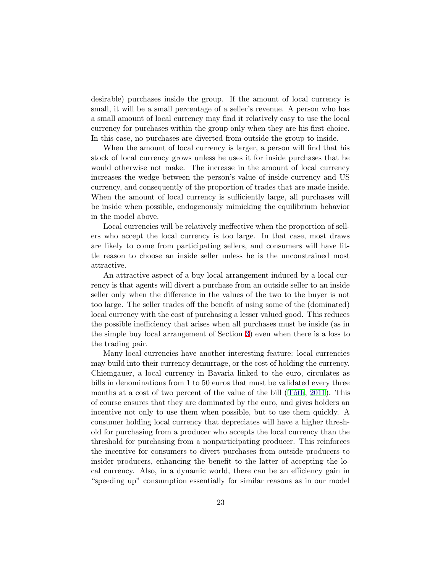desirable) purchases inside the group. If the amount of local currency is small, it will be a small percentage of a seller's revenue. A person who has a small amount of local currency may find it relatively easy to use the local currency for purchases within the group only when they are his first choice. In this case, no purchases are diverted from outside the group to inside.

When the amount of local currency is larger, a person will find that his stock of local currency grows unless he uses it for inside purchases that he would otherwise not make. The increase in the amount of local currency increases the wedge between the person's value of inside currency and US currency, and consequently of the proportion of trades that are made inside. When the amount of local currency is sufficiently large, all purchases will be inside when possible, endogenously mimicking the equilibrium behavior in the model above.

Local currencies will be relatively ineffective when the proportion of sellers who accept the local currency is too large. In that case, most draws are likely to come from participating sellers, and consumers will have little reason to choose an inside seller unless he is the unconstrained most attractive.

An attractive aspect of a buy local arrangement induced by a local currency is that agents will divert a purchase from an outside seller to an inside seller only when the difference in the values of the two to the buyer is not too large. The seller trades off the benefit of using some of the (dominated) local currency with the cost of purchasing a lesser valued good. This reduces the possible inefficiency that arises when all purchases must be inside (as in the simple buy local arrangement of Section [3](#page-9-0)) even when there is a loss to the trading pair.

Many local currencies have another interesting feature: local currencies may build into their currency demurrage, or the cost of holding the currency. Chiemgauer, a local currency in Bavaria linked to the euro, circulates as bills in denominations from 1 to 50 euros that must be validated every three months at a cost of two percent of the value of the bill  $(T<sub>o</sub>ith, 2011)$  $(T<sub>o</sub>ith, 2011)$  $(T<sub>o</sub>ith, 2011)$ . This of course ensures that they are dominated by the euro, and gives holders an incentive not only to use them when possible, but to use them quickly. A consumer holding local currency that depreciates will have a higher threshold for purchasing from a producer who accepts the local currency than the threshold for purchasing from a nonparticipating producer. This reinforces the incentive for consumers to divert purchases from outside producers to insider producers, enhancing the benefit to the latter of accepting the local currency. Also, in a dynamic world, there can be an efficiency gain in "speeding up" consumption essentially for similar reasons as in our model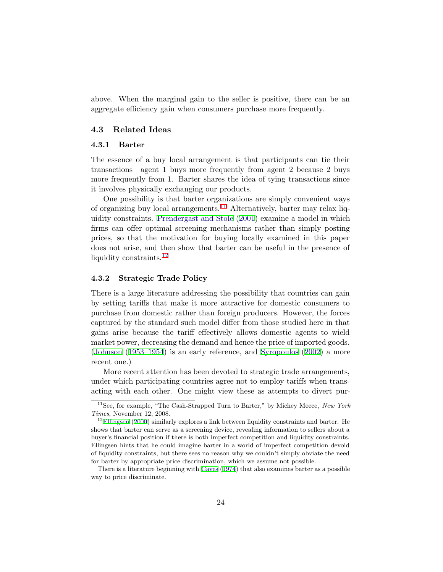<span id="page-26-0"></span>above. When the marginal gain to the seller is positive, there can be an aggregate efficiency gain when consumers purchase more frequently.

#### 4.3 Related Ideas

#### 4.3.1 Barter

The essence of a buy local arrangement is that participants can tie their transactions—agent 1 buys more frequently from agent 2 because 2 buys more frequently from 1. Barter shares the idea of tying transactions since it involves physically exchanging our products.

One possibility is that barter organizations are simply convenient ways of organizing buy local arrangements.<sup>11</sup> Alternatively, barter may relax liquidity constraints. [Prendergast and Stole](#page-33-0) [\(2001](#page-33-0)) examine a model in which firms can offer optimal screening mechanisms rather than simply posting prices, so that the motivation for buying locally examined in this paper does not arise, and then show that barter can be useful in the presence of liquidity constraints.<sup>12</sup>

#### 4.3.2 Strategic Trade Policy

There is a large literature addressing the possibility that countries can gain by setting tariffs that make it more attractive for domestic consumers to purchase from domestic rather than foreign producers. However, the forces captured by the standard such model differ from those studied here in that gains arise because the tariff effectively allows domestic agents to wield market power, decreasing the demand and hence the price of imported goods. [\(Johnson](#page-33-0) [\(1953–1954](#page-33-0)) is an early reference, and [Syropoulos](#page-33-0) [\(2002\)](#page-33-0) a more recent one.)

More recent attention has been devoted to strategic trade arrangements, under which participating countries agree not to employ tariffs when transacting with each other. One might view these as attempts to divert pur-

<sup>&</sup>lt;sup>11</sup>See, for example, "The Cash-Strapped Turn to Barter," by Michey Meece, New York Times, November 12, 2008.

<sup>&</sup>lt;sup>12</sup>[Ellingsen](#page-32-0) [\(2000\)](#page-32-0) similarly explores a link between liquidity constraints and barter. He shows that barter can serve as a screening device, revealing information to sellers about a buyer's financial position if there is both imperfect competition and liquidity constraints. Ellingsen hints that he could imagine barter in a world of imperfect competition devoid of liquidity constraints, but there sees no reason why we couldn't simply obviate the need for barter by appropriate price discrimination, which we assume not possible.

There is a literature beginning with [Caves](#page-32-0) ([1974](#page-32-0)) that also examines barter as a possible way to price discriminate.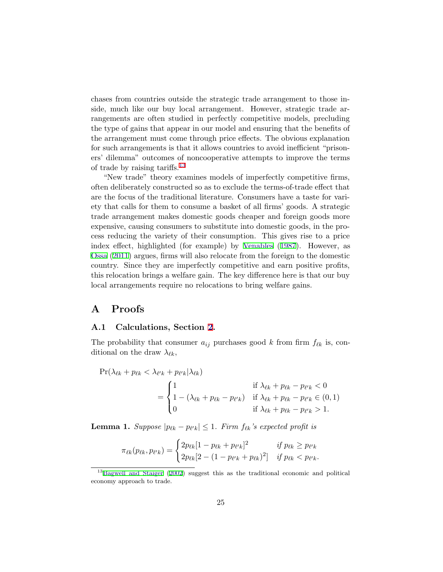<span id="page-27-0"></span>chases from countries outside the strategic trade arrangement to those inside, much like our buy local arrangement. However, strategic trade arrangements are often studied in perfectly competitive models, precluding the type of gains that appear in our model and ensuring that the benefits of the arrangement must come through price effects. The obvious explanation for such arrangements is that it allows countries to avoid inefficient "prisoners' dilemma" outcomes of noncooperative attempts to improve the terms of trade by raising tariffs.<sup>13</sup>

"New trade" theory examines models of imperfectly competitive firms, often deliberately constructed so as to exclude the terms-of-trade effect that are the focus of the traditional literature. Consumers have a taste for variety that calls for them to consume a basket of all firms' goods. A strategic trade arrangement makes domestic goods cheaper and foreign goods more expensive, causing consumers to substitute into domestic goods, in the process reducing the variety of their consumption. This gives rise to a price index effect, highlighted (for example) by [Venables](#page-33-0) [\(1987](#page-33-0)). However, as [Ossa](#page-33-0) ([2011\)](#page-33-0) argues, firms will also relocate from the foreign to the domestic country. Since they are imperfectly competitive and earn positive profits, this relocation brings a welfare gain. The key difference here is that our buy local arrangements require no relocations to bring welfare gains.

### A Proofs

#### A.1 Calculations, Section [2](#page-5-0).

The probability that consumer  $a_{ij}$  purchases good k from firm  $f_{\ell k}$  is, conditional on the draw  $\lambda_{\ell k}$ ,

$$
\Pr(\lambda_{\ell k} + p_{\ell k} < \lambda_{\ell' k} + p_{\ell' k} | \lambda_{\ell k})
$$
\n
$$
= \begin{cases}\n1 & \text{if } \lambda_{\ell k} + p_{\ell k} - p_{\ell' k} < 0 \\
1 - (\lambda_{\ell k} + p_{\ell k} - p_{\ell' k}) & \text{if } \lambda_{\ell k} + p_{\ell k} - p_{\ell' k} \in (0, 1) \\
0 & \text{if } \lambda_{\ell k} + p_{\ell k} - p_{\ell' k} > 1.\n\end{cases}
$$

**Lemma 1.** Suppose  $|p_{\ell k} - p_{\ell' k}| \leq 1$ . Firm  $f_{\ell k}$ 's expected profit is

$$
\pi_{\ell k}(p_{\ell k}, p_{\ell' k}) = \begin{cases} 2p_{\ell k}[1 - p_{\ell k} + p_{\ell' k}]^2 & \text{if } p_{\ell k} \ge p_{\ell' k} \\ 2p_{\ell k}[2 - (1 - p_{\ell' k} + p_{\ell k})^2] & \text{if } p_{\ell k} < p_{\ell' k}. \end{cases}
$$

<sup>13</sup>[Bagwell and Staiger](#page-32-0) [\(2002](#page-32-0)) suggest this as the traditional economic and political economy approach to trade.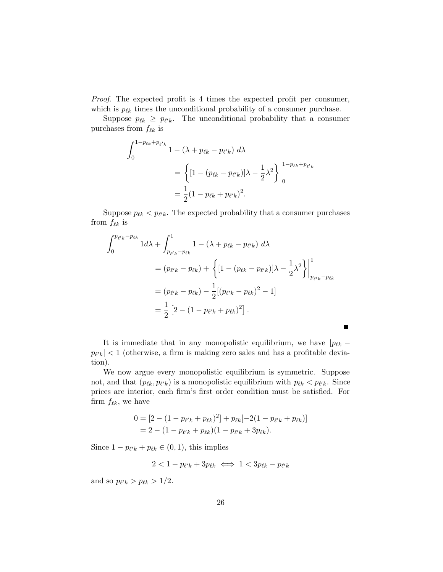Proof. The expected profit is 4 times the expected profit per consumer, which is  $p_{\ell k}$  times the unconditional probability of a consumer purchase.

Suppose  $p_{\ell k} \geq p_{\ell' k}$ . The unconditional probability that a consumer purchases from  $f_{\ell k}$  is

$$
\int_{0}^{1-p_{\ell k}+p_{\ell' k}} 1 - (\lambda + p_{\ell k} - p_{\ell' k}) d\lambda
$$
  
=  $\left\{ [1 - (p_{\ell k} - p_{\ell' k})] \lambda - \frac{1}{2} \lambda^{2} \right\} \Big|_{0}^{1-p_{\ell k}+p_{\ell' k}}$   
=  $\frac{1}{2} (1 - p_{\ell k} + p_{\ell' k})^{2}.$ 

Suppose  $p_{\ell k} < p_{\ell' k}$ . The expected probability that a consumer purchases from  $f_{\ell k}$  is

$$
\int_{0}^{p_{\ell' k} - p_{\ell k}} 1 d\lambda + \int_{p_{\ell' k} - p_{\ell k}}^{1} 1 - (\lambda + p_{\ell k} - p_{\ell' k}) d\lambda
$$
  
=  $(p_{\ell' k} - p_{\ell k}) + \left\{ [1 - (p_{\ell k} - p_{\ell' k})] \lambda - \frac{1}{2} \lambda^2 \right\} \Big|_{p_{\ell' k} - p_{\ell k}}^{1}$   
=  $(p_{\ell' k} - p_{\ell k}) - \frac{1}{2} [(p_{\ell' k} - p_{\ell k})^2 - 1]$   
=  $\frac{1}{2} [2 - (1 - p_{\ell' k} + p_{\ell k})^2].$ 

It is immediate that in any monopolistic equilibrium, we have  $|p_{\ell k} |p_{\ell' k}| < 1$  (otherwise, a firm is making zero sales and has a profitable deviation).

We now argue every monopolistic equilibrium is symmetric. Suppose not, and that  $(p_{\ell k}, p_{\ell' k})$  is a monopolistic equilibrium with  $p_{\ell k} < p_{\ell' k}$ . Since prices are interior, each firm's first order condition must be satisfied. For firm  $f_{\ell k}$ , we have

$$
0 = [2 - (1 - p_{\ell'k} + p_{\ell k})^2] + p_{\ell k}[-2(1 - p_{\ell'k} + p_{\ell k})]
$$
  
= 2 - (1 - p\_{\ell'k} + p\_{\ell k})(1 - p\_{\ell'k} + 3p\_{\ell k}).

Since  $1 - p_{\ell' k} + p_{\ell k} \in (0, 1)$ , this implies

$$
2 < 1 - p_{\ell' k} + 3p_{\ell k} \iff 1 < 3p_{\ell k} - p_{\ell' k}
$$

and so  $p_{\ell' k} > p_{\ell k} > 1/2$ .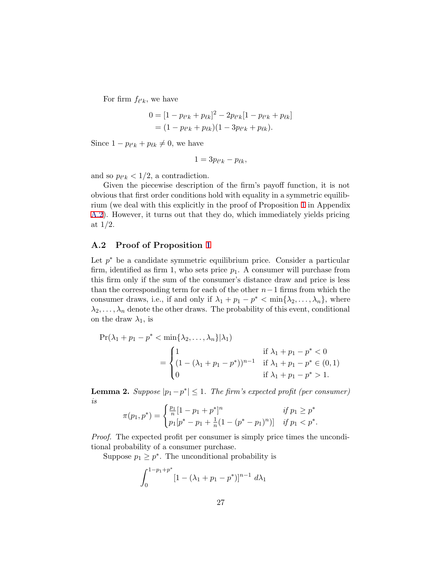<span id="page-29-0"></span>For firm  $f_{\ell' k}$ , we have

$$
0 = [1 - p_{\ell'k} + p_{\ell k}]^2 - 2p_{\ell'k}[1 - p_{\ell'k} + p_{\ell k}]
$$
  
=  $(1 - p_{\ell'k} + p_{\ell k})(1 - 3p_{\ell'k} + p_{\ell k}).$ 

Since  $1 - p_{\ell' k} + p_{\ell k} \neq 0$ , we have

$$
1=3p_{\ell'k}-p_{\ell k},
$$

and so  $p_{\ell' k} < 1/2$ , a contradiction.

Given the piecewise description of the firm's payoff function, it is not obvious that first order conditions hold with equality in a symmetric equilibrium (we deal with this explicitly in the proof of Proposition [1](#page-11-0) in Appendix A.2). However, it turns out that they do, which immediately yields pricing at 1/2.

#### A.2 Proof of Proposition [1](#page-11-0)

Let  $p^*$  be a candidate symmetric equilibrium price. Consider a particular firm, identified as firm 1, who sets price  $p_1$ . A consumer will purchase from this firm only if the sum of the consumer's distance draw and price is less than the corresponding term for each of the other  $n-1$  firms from which the consumer draws, i.e., if and only if  $\lambda_1 + p_1 - p^* < \min{\lambda_2, \ldots, \lambda_n}$ , where  $\lambda_2, \ldots, \lambda_n$  denote the other draws. The probability of this event, conditional on the draw  $\lambda_1$ , is

$$
\Pr(\lambda_1 + p_1 - p^* < \min\{\lambda_2, \dots, \lambda_n\} | \lambda_1) \\
= \begin{cases}\n1 & \text{if } \lambda_1 + p_1 - p^* < 0 \\
(1 - (\lambda_1 + p_1 - p^*))^{n-1} & \text{if } \lambda_1 + p_1 - p^* < 0, \\
0 & \text{if } \lambda_1 + p_1 - p^* > 1.\n\end{cases}
$$

**Lemma 2.** Suppose  $|p_1 - p^*| \leq 1$ . The firm's expected profit (per consumer) is

$$
\pi(p_1, p^*) = \begin{cases} \frac{p_1}{n} [1 - p_1 + p^*]^n & \text{if } p_1 \ge p^* \\ p_1 [p^* - p_1 + \frac{1}{n} (1 - (p^* - p_1)^n)] & \text{if } p_1 < p^*. \end{cases}
$$

Proof. The expected profit per consumer is simply price times the unconditional probability of a consumer purchase.

Suppose  $p_1 \geq p^*$ . The unconditional probability is

$$
\int_0^{1-p_1+p^*} [1-(\lambda_1+p_1-p^*)]^{n-1} d\lambda_1
$$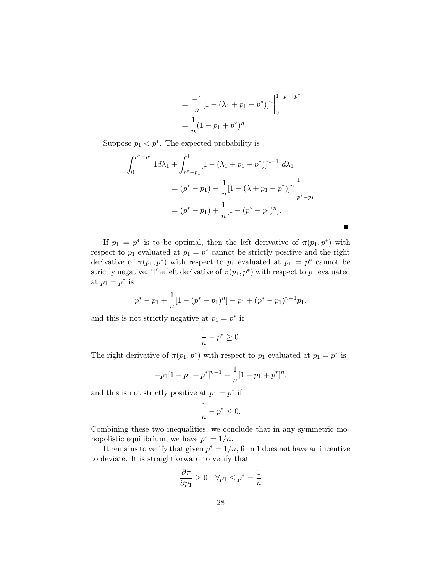$$
= \frac{-1}{n} [1 - (\lambda_1 + p_1 - p^*)]^n \Big|_0^{1 - p_1 + p^*}
$$
  
=  $\frac{1}{n} (1 - p_1 + p^*)^n$ .

 $\blacksquare$ 

Suppose  $p_1 < p^*$ . The expected probability is

$$
\int_{0}^{p^{*}-p_{1}} 1 d\lambda_{1} + \int_{p^{*}-p_{1}}^{1} [1 - (\lambda_{1} + p_{1} - p^{*})]^{n-1} d\lambda_{1}
$$
  
=  $(p^{*} - p_{1}) - \frac{1}{n} [1 - (\lambda + p_{1} - p^{*})]^{n} \Big|_{p^{*}-p_{1}}^{1}$   
=  $(p^{*} - p_{1}) + \frac{1}{n} [1 - (p^{*} - p_{1})^{n}].$ 

If  $p_1 = p^*$  is to be optimal, then the left derivative of  $\pi(p_1, p^*)$  with respect to  $p_1$  evaluated at  $p_1 = p^*$  cannot be strictly positive and the right derivative of  $\pi(p_1, p^*)$  with respect to  $p_1$  evaluated at  $p_1 = p^*$  cannot be strictly negative. The left derivative of  $\pi(p_1, p^*)$  with respect to  $p_1$  evaluated at  $p_1 = p^*$  is

$$
p^* - p_1 + \frac{1}{n} [1 - (p^* - p_1)^n] - p_1 + (p^* - p_1)^{n-1} p_1,
$$

and this is not strictly negative at  $p_1 = p^*$  if

$$
\frac{1}{n} - p^* \ge 0.
$$

The right derivative of  $\pi(p_1, p^*)$  with respect to  $p_1$  evaluated at  $p_1 = p^*$  is

$$
-p_1[1-p_1+p^*]^{n-1}+\frac{1}{n}[1-p_1+p^*]^{n},
$$

and this is not strictly positive at  $p_1 = p^*$  if

$$
\frac{1}{n} - p^* \le 0.
$$

Combining these two inequalities, we conclude that in any symmetric monopolistic equilibrium, we have  $p^* = 1/n$ .

It remains to verify that given  $p^* = 1/n$ , firm 1 does not have an incentive to deviate. It is straightforward to verify that

$$
\frac{\partial \pi}{\partial p_1} \ge 0 \quad \forall p_1 \le p^* = \frac{1}{n}
$$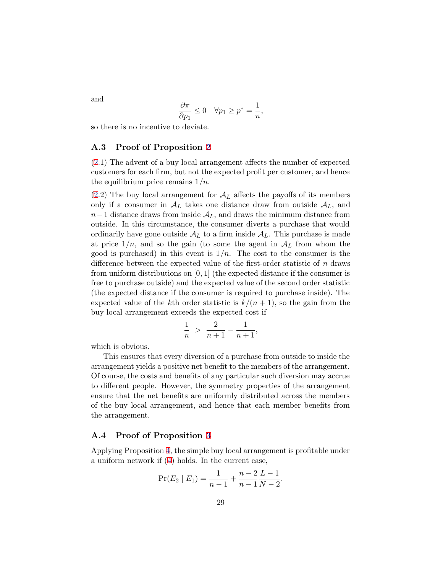<span id="page-31-0"></span>and

$$
\frac{\partial \pi}{\partial p_1} \le 0 \quad \forall p_1 \ge p^* = \frac{1}{n},
$$

so there is no incentive to deviate.

#### A.3 Proof of Proposition [2](#page-13-0)

[\(2](#page-13-0).1) The advent of a buy local arrangement affects the number of expected customers for each firm, but not the expected profit per customer, and hence the equilibrium price remains  $1/n$ .

[\(2](#page-13-0).2) The buy local arrangement for  $\mathcal{A}_L$  affects the payoffs of its members only if a consumer in  $\mathcal{A}_L$  takes one distance draw from outside  $\mathcal{A}_L$ , and  $n-1$  distance draws from inside  $\mathcal{A}_L$ , and draws the minimum distance from outside. In this circumstance, the consumer diverts a purchase that would ordinarily have gone outside  $A_L$  to a firm inside  $A_L$ . This purchase is made at price  $1/n$ , and so the gain (to some the agent in  $A_L$  from whom the good is purchased) in this event is  $1/n$ . The cost to the consumer is the difference between the expected value of the first-order statistic of  $n$  draws from uniform distributions on [0, 1] (the expected distance if the consumer is free to purchase outside) and the expected value of the second order statistic (the expected distance if the consumer is required to purchase inside). The expected value of the kth order statistic is  $k/(n+1)$ , so the gain from the buy local arrangement exceeds the expected cost if

$$
\frac{1}{n} > \frac{2}{n+1} - \frac{1}{n+1},
$$

which is obvious.

This ensures that every diversion of a purchase from outside to inside the arrangement yields a positive net benefit to the members of the arrangement. Of course, the costs and benefits of any particular such diversion may accrue to different people. However, the symmetry properties of the arrangement ensure that the net benefits are uniformly distributed across the members of the buy local arrangement, and hence that each member benefits from the arrangement.

#### A.4 Proof of Proposition [3](#page-16-0)

Applying Proposition [4](#page-17-0), the simple buy local arrangement is profitable under a uniform network if ([4](#page-17-0)) holds. In the current case,

$$
\Pr(E_2 \mid E_1) = \frac{1}{n-1} + \frac{n-2}{n-1} \frac{L-1}{N-2}.
$$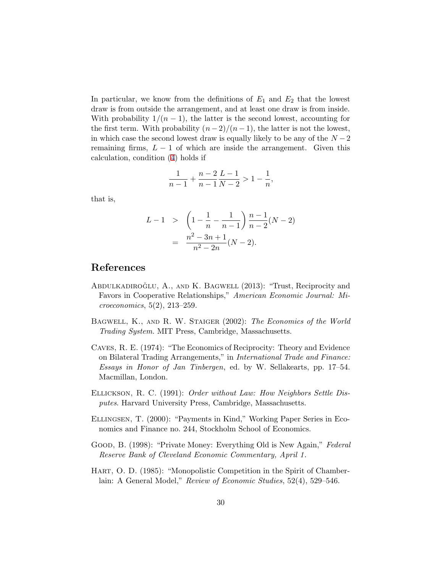<span id="page-32-0"></span>In particular, we know from the definitions of  $E_1$  and  $E_2$  that the lowest draw is from outside the arrangement, and at least one draw is from inside. With probability  $1/(n-1)$ , the latter is the second lowest, accounting for the first term. With probability  $(n-2)/(n-1)$ , the latter is not the lowest, in which case the second lowest draw is equally likely to be any of the  $N-2$ remaining firms,  $L - 1$  of which are inside the arrangement. Given this calculation, condition ([4\)](#page-17-0) holds if

$$
\frac{1}{n-1} + \frac{n-2}{n-1} \frac{L-1}{N-2} > 1 - \frac{1}{n},
$$

that is,

$$
L-1 > \left(1 - \frac{1}{n} - \frac{1}{n-1}\right) \frac{n-1}{n-2} (N-2)
$$
  
= 
$$
\frac{n^2 - 3n + 1}{n^2 - 2n} (N-2).
$$

## References

- ABDULKADIROĞLU, A., AND K. BAGWELL (2013): "Trust, Reciprocity and Favors in Cooperative Relationships," American Economic Journal: Microeconomics, 5(2), 213–259.
- BAGWELL, K., AND R. W. STAIGER (2002): The Economics of the World Trading System. MIT Press, Cambridge, Massachusetts.
- Caves, R. E. (1974): "The Economics of Reciprocity: Theory and Evidence on Bilateral Trading Arrangements," in International Trade and Finance: Essays in Honor of Jan Tinbergen, ed. by W. Sellakearts, pp. 17–54. Macmillan, London.
- Ellickson, R. C. (1991): Order without Law: How Neighbors Settle Disputes. Harvard University Press, Cambridge, Massachusetts.
- Ellingsen, T. (2000): "Payments in Kind," Working Paper Series in Economics and Finance no. 244, Stockholm School of Economics.
- Good, B. (1998): "Private Money: Everything Old is New Again," Federal Reserve Bank of Cleveland Economic Commentary, April 1.
- Hart, O. D. (1985): "Monopolistic Competition in the Spirit of Chamberlain: A General Model," Review of Economic Studies, 52(4), 529-546.